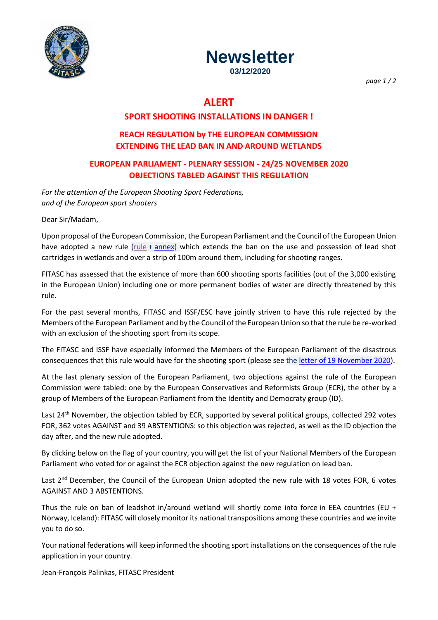



**03/12/2020**

*page 1 / 2*

# **ALERT**

# **SPORT SHOOTING INSTALLATIONS IN DANGER !**

# **REACH REGULATION by THE EUROPEAN COMMISSION EXTENDING THE LEAD BAN IN AND AROUND WETLANDS**

# **EUROPEAN PARLIAMENT - PLENARY SESSION - 24/25 NOVEMBER 2020 OBJECTIONS TABLED AGAINST THIS REGULATION**

*For the attention of the European Shooting Sport Federations, and of the European sport shooters*

Dear Sir/Madam,

Upon proposal of the European Commission, the European Parliament and the Council of the European Union have adopted a new rule [\(rule](https://emailing.eximeo.net/redirect.php?id=FTSC_0000000365L0000006646M0000000092) + [annex\)](https://emailing.eximeo.net/redirect.php?id=FTSC_0000000365L0000006647M0000000092) which extends the ban on the use and possession of lead shot cartridges in wetlands and over a strip of 100m around them, including for shooting ranges.

FITASC has assessed that the existence of more than 600 shooting sports facilities (out of the 3,000 existing in the European Union) including one or more permanent bodies of water are directly threatened by this rule.

For the past several months, FITASC and ISSF/ESC have jointly striven to have this rule rejected by the Members of the European Parliament and by the Council of the European Union so that the rule be re-worked with an exclusion of the shooting sport from its scope.

The FITASC and ISSF have especially informed the Members of the European Parliament of the disastrous consequences that this rule would have for the shooting sport (please see the letter of 19 [November 2020\)](https://emailing.eximeo.net/redirect.php?id=FTSC_0000000365L0000006648M0000000092).

At the last plenary session of the European Parliament, two objections against the rule of the European Commission were tabled: one by the European Conservatives and Reformists Group (ECR), the other by a group of Members of the European Parliament from the Identity and Democraty group (ID).

Last 24<sup>th</sup> November, the objection tabled by ECR, supported by several political groups, collected 292 votes FOR, 362 votes AGAINST and 39 ABSTENTIONS: so this objection was rejected, as well as the ID objection the day after, and the new rule adopted.

By clicking below on the flag of your country, you will get the list of your National Members of the European Parliament who voted for or against the ECR objection against the new regulation on lead ban.

Last 2<sup>nd</sup> December, the Council of the European Union adopted the new rule with 18 votes FOR, 6 votes AGAINST AND 3 ABSTENTIONS.

Thus the rule on ban of leadshot in/around wetland will shortly come into force in EEA countries (EU + Norway, Iceland): FITASC will closely monitor its national transpositions among these countries and we invite you to do so.

Your national federations will keep informed the shooting sport installations on the consequences of the rule application in your country.

Jean-François Palinkas, FITASC President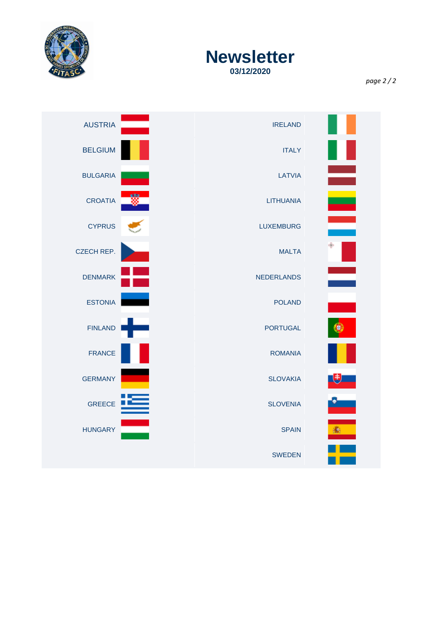

# **Newsletter 03/12/2020**

*page 2 / 2*

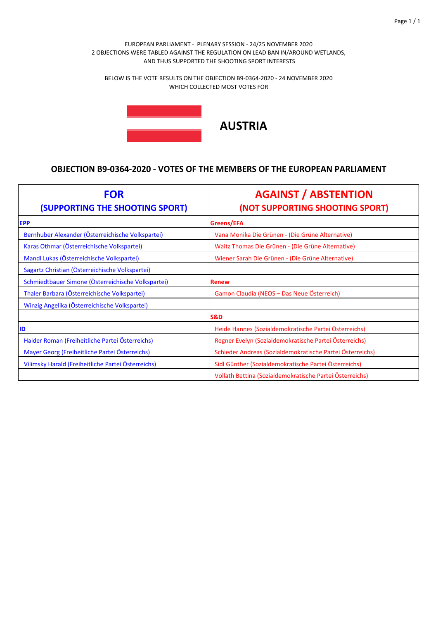BELOW IS THE VOTE RESULTS ON THE OBJECTION B9‐0364‐2020 ‐ 24 NOVEMBER 2020 WHICH COLLECTED MOST VOTES FOR



| <b>FOR</b><br>(SUPPORTING THE SHOOTING SPORT)      | <b>AGAINST / ABSTENTION</b><br>(NOT SUPPORTING SHOOTING SPORT) |
|----------------------------------------------------|----------------------------------------------------------------|
| <b>EPP</b>                                         | Greens/EFA                                                     |
| Bernhuber Alexander (Österreichische Volkspartei)  | Vana Monika Die Grünen - (Die Grüne Alternative)               |
| Karas Othmar (Österreichische Volkspartei)         | Waitz Thomas Die Grünen - (Die Grüne Alternative)              |
| Mandl Lukas (Österreichische Volkspartei)          | Wiener Sarah Die Grünen - (Die Grüne Alternative)              |
| Sagartz Christian (Österreichische Volkspartei)    |                                                                |
| Schmiedtbauer Simone (Österreichische Volkspartei) | <b>Renew</b>                                                   |
| Thaler Barbara (Österreichische Volkspartei)       | Gamon Claudia (NEOS - Das Neue Österreich)                     |
| Winzig Angelika (Österreichische Volkspartei)      |                                                                |
|                                                    | S&D                                                            |
| ID                                                 | Heide Hannes (Sozialdemokratische Partei Österreichs)          |
| Haider Roman (Freiheitliche Partei Österreichs)    | Regner Evelyn (Sozialdemokratische Partei Österreichs)         |
| Mayer Georg (Freiheitliche Partei Österreichs)     | Schieder Andreas (Sozialdemokratische Partei Österreichs)      |
| Vilimsky Harald (Freiheitliche Partei Österreichs) | Sidl Günther (Sozialdemokratische Partei Österreichs)          |
|                                                    | Vollath Bettina (Sozialdemokratische Partei Österreichs)       |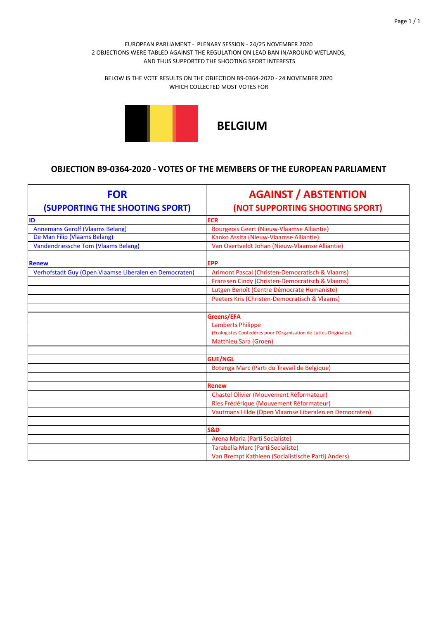BELOW IS THE VOTE RESULTS ON THE OBJECTION B9‐0364‐2020 ‐ 24 NOVEMBER 2020 WHICH COLLECTED MOST VOTES FOR



# **BELGIUM**

| <b>FOR</b><br>(SUPPORTING THE SHOOTING SPORT)          | <b>AGAINST / ABSTENTION</b><br>(NOT SUPPORTING SHOOTING SPORT)    |
|--------------------------------------------------------|-------------------------------------------------------------------|
| ID                                                     | <b>ECR</b>                                                        |
| <b>Annemans Gerolf (Vlaams Belang)</b>                 | <b>Bourgeois Geert (Nieuw-Vlaamse Alliantie)</b>                  |
| De Man Filip (Vlaams Belang)                           | Kanko Assita (Nieuw-Vlaamse Alliantie)                            |
| <b>Vandendriessche Tom (Vlaams Belang)</b>             | Van Overtveldt Johan (Nieuw-Vlaamse Alliantie)                    |
|                                                        |                                                                   |
| <b>Renew</b>                                           | <b>EPP</b>                                                        |
| Verhofstadt Guy (Open Vlaamse Liberalen en Democraten) | Arimont Pascal (Christen-Democratisch & Vlaams)                   |
|                                                        | Franssen Cindy (Christen-Democratisch & Vlaams)                   |
|                                                        | Lutgen Benoît (Centre Démocrate Humaniste)                        |
|                                                        | Peeters Kris (Christen-Democratisch & Vlaams)                     |
|                                                        |                                                                   |
|                                                        | Greens/EFA                                                        |
|                                                        | <b>Lamberts Philippe</b>                                          |
|                                                        | (Ecologistes Confédérés pour l'Organisation de Luttes Originales) |
|                                                        | Matthieu Sara (Groen)                                             |
|                                                        |                                                                   |
|                                                        | <b>GUE/NGL</b>                                                    |
|                                                        | Botenga Marc (Parti du Travail de Belgique)                       |
|                                                        |                                                                   |
|                                                        | <b>Renew</b>                                                      |
|                                                        | <b>Chastel Olivier (Mouvement Réformateur)</b>                    |
|                                                        | Ries Frédérique (Mouvement Réformateur)                           |
|                                                        | Vautmans Hilde (Open Vlaamse Liberalen en Democraten)             |
|                                                        |                                                                   |
|                                                        | <b>S&amp;D</b>                                                    |
|                                                        | Arena Maria (Parti Socialiste)                                    |
|                                                        | Tarabella Marc (Parti Socialiste)                                 |
|                                                        | Van Brempt Kathleen (Socialistische Partij.Anders)                |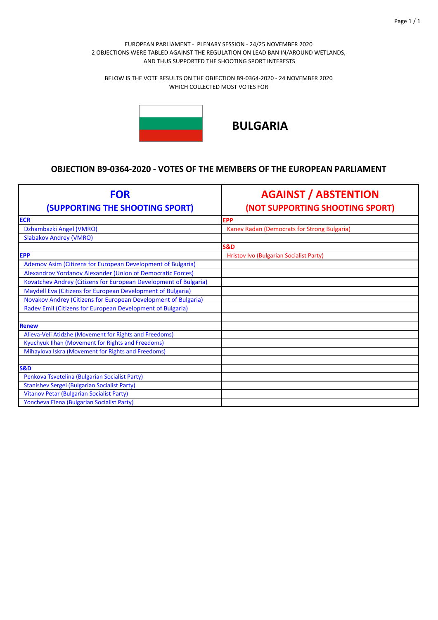BELOW IS THE VOTE RESULTS ON THE OBJECTION B9‐0364‐2020 ‐ 24 NOVEMBER 2020 WHICH COLLECTED MOST VOTES FOR



# **BULGARIA**

| <b>FOR</b><br>(SUPPORTING THE SHOOTING SPORT)                    | <b>AGAINST / ABSTENTION</b><br>(NOT SUPPORTING SHOOTING SPORT) |
|------------------------------------------------------------------|----------------------------------------------------------------|
| <b>ECR</b>                                                       | <b>EPP</b>                                                     |
| Dzhambazki Angel (VMRO)                                          | Kanev Radan (Democrats for Strong Bulgaria)                    |
| <b>Slabakov Andrey (VMRO)</b>                                    |                                                                |
|                                                                  | <b>S&amp;D</b>                                                 |
| <b>EPP</b>                                                       | <b>Hristov Ivo (Bulgarian Socialist Party)</b>                 |
| Ademov Asim (Citizens for European Development of Bulgaria)      |                                                                |
| Alexandrov Yordanov Alexander (Union of Democratic Forces)       |                                                                |
| Kovatchev Andrey (Citizens for European Development of Bulgaria) |                                                                |
| Maydell Eva (Citizens for European Development of Bulgaria)      |                                                                |
| Novakov Andrey (Citizens for European Development of Bulgaria)   |                                                                |
| Radev Emil (Citizens for European Development of Bulgaria)       |                                                                |
|                                                                  |                                                                |
| <b>Renew</b>                                                     |                                                                |
| Alieva-Veli Atidzhe (Movement for Rights and Freedoms)           |                                                                |
| Kyuchyuk Ilhan (Movement for Rights and Freedoms)                |                                                                |
| Mihaylova Iskra (Movement for Rights and Freedoms)               |                                                                |
|                                                                  |                                                                |
| <b>S&amp;D</b>                                                   |                                                                |
| Penkova Tsvetelina (Bulgarian Socialist Party)                   |                                                                |
| <b>Stanishev Sergei (Bulgarian Socialist Party)</b>              |                                                                |
| Vitanov Petar (Bulgarian Socialist Party)                        |                                                                |
| Yoncheva Elena (Bulgarian Socialist Party)                       |                                                                |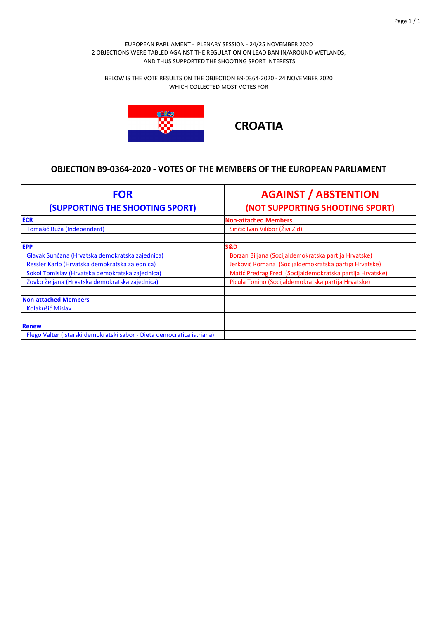BELOW IS THE VOTE RESULTS ON THE OBJECTION B9‐0364‐2020 ‐ 24 NOVEMBER 2020 WHICH COLLECTED MOST VOTES FOR



**CROATIA**

| <b>FOR</b><br>(SUPPORTING THE SHOOTING SPORT)                          | <b>AGAINST / ABSTENTION</b><br>(NOT SUPPORTING SHOOTING SPORT) |
|------------------------------------------------------------------------|----------------------------------------------------------------|
| <b>ECR</b>                                                             | <b>Non-attached Members</b>                                    |
| Tomašić Ruža (Independent)                                             | Sinčić Ivan Vilibor (Živi Zid)                                 |
| <b>EPP</b>                                                             | <b>S&amp;D</b>                                                 |
| Glavak Sunčana (Hrvatska demokratska zajednica)                        | Borzan Biljana (Socijaldemokratska partija Hrvatske)           |
| Ressler Karlo (Hrvatska demokratska zajednica)                         | Jerković Romana (Socijaldemokratska partija Hrvatske)          |
| Sokol Tomislav (Hrvatska demokratska zajednica)                        | Matić Predrag Fred (Socijaldemokratska partija Hrvatske)       |
| Zovko Željana (Hrvatska demokratska zajednica)                         | Picula Tonino (Socijaldemokratska partija Hrvatske)            |
| <b>Non-attached Members</b>                                            |                                                                |
| Kolakušić Mislav                                                       |                                                                |
|                                                                        |                                                                |
| <b>Renew</b>                                                           |                                                                |
| Flego Valter (Istarski demokratski sabor - Dieta democratica istriana) |                                                                |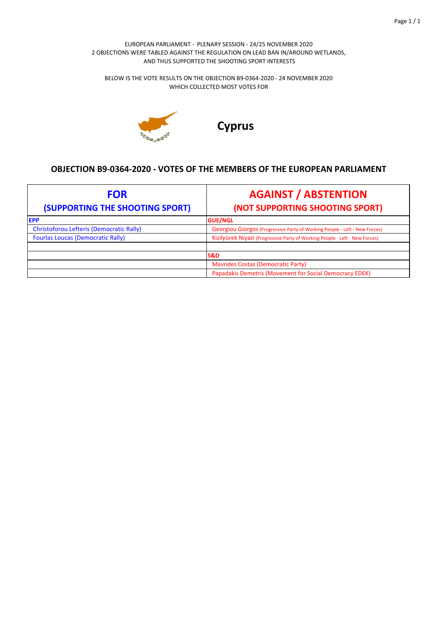BELOW IS THE VOTE RESULTS ON THE OBJECTION B9‐0364‐2020 ‐ 24 NOVEMBER 2020 WHICH COLLECTED MOST VOTES FOR



**Cyprus**

| <b>FOR</b><br>(SUPPORTING THE SHOOTING SPORT)   | <b>AGAINST / ABSTENTION</b><br>(NOT SUPPORTING SHOOTING SPORT)              |
|-------------------------------------------------|-----------------------------------------------------------------------------|
| <b>IEPP</b>                                     | <b>GUE/NGL</b>                                                              |
| <b>Christoforou Lefteris (Democratic Rally)</b> | Georgiou Giorgos (Progressive Party of Working People - Left - New Forces)  |
| <b>Fourlas Loucas (Democratic Rally)</b>        | Kizilyürek Niyazi (Progressive Party of Working People - Left - New Forces) |
|                                                 |                                                                             |
|                                                 | <b>S&amp;D</b>                                                              |
|                                                 | <b>Mavrides Costas (Democratic Party)</b>                                   |
|                                                 | Papadakis Demetris (Movement for Social Democracy EDEK)                     |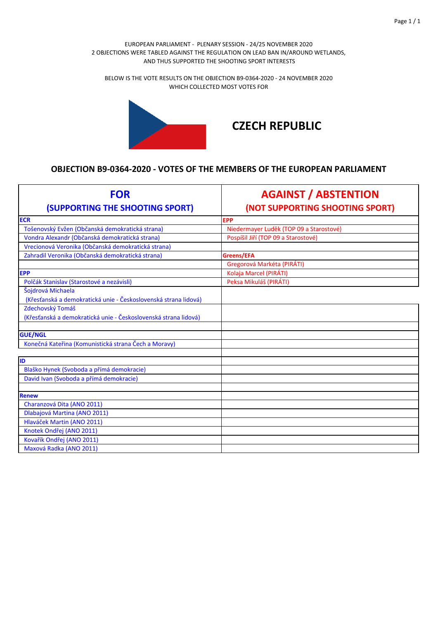BELOW IS THE VOTE RESULTS ON THE OBJECTION B9‐0364‐2020 ‐ 24 NOVEMBER 2020 WHICH COLLECTED MOST VOTES FOR



# **CZECH REPUBLIC**

| <b>FOR</b><br>(SUPPORTING THE SHOOTING SPORT)                   | <b>AGAINST / ABSTENTION</b><br>(NOT SUPPORTING SHOOTING SPORT) |
|-----------------------------------------------------------------|----------------------------------------------------------------|
| <b>ECR</b>                                                      | <b>EPP</b>                                                     |
| Tošenovský Evžen (Občanská demokratická strana)                 | Niedermayer Luděk (TOP 09 a Starostové)                        |
| Vondra Alexandr (Občanská demokratická strana)                  | Pospíšil Jiří (TOP 09 a Starostové)                            |
| Vrecionová Veronika (Občanská demokratická strana)              |                                                                |
| Zahradil Veronika (Občanská demokratická strana)                | Greens/EFA                                                     |
|                                                                 | Gregorová Markéta (PIRÁTI)                                     |
| <b>EPP</b>                                                      | Kolaja Marcel (PIRÁTI)                                         |
| Polčák Stanislav (Starostové a nezávisli)                       | Peksa Mikuláš (PIRÁTI)                                         |
| Šojdrová Michaela                                               |                                                                |
| (Křesťanská a demokratická unie - Československá strana lidová) |                                                                |
| Zdechovský Tomáš                                                |                                                                |
| (Křesťanská a demokratická unie - Československá strana lidová) |                                                                |
| <b>GUE/NGL</b>                                                  |                                                                |
| Konečná Kateřina (Komunistická strana Čech a Moravy)            |                                                                |
|                                                                 |                                                                |
| <b>ID</b>                                                       |                                                                |
| Blaško Hynek (Svoboda a přímá demokracie)                       |                                                                |
| David Ivan (Svoboda a přímá demokracie)                         |                                                                |
|                                                                 |                                                                |
| <b>Renew</b>                                                    |                                                                |
| Charanzová Dita (ANO 2011)                                      |                                                                |
| Dlabajová Martina (ANO 2011)                                    |                                                                |
| Hlaváček Martin (ANO 2011)                                      |                                                                |
| Knotek Ondřej (ANO 2011)                                        |                                                                |
| Kovařík Ondřej (ANO 2011)                                       |                                                                |
| Maxová Radka (ANO 2011)                                         |                                                                |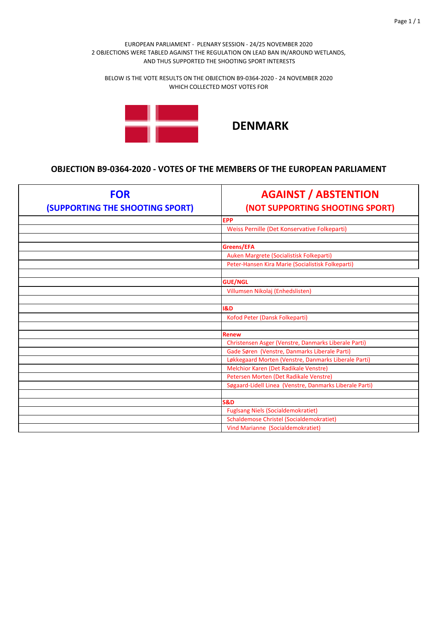BELOW IS THE VOTE RESULTS ON THE OBJECTION B9‐0364‐2020 ‐ 24 NOVEMBER 2020 WHICH COLLECTED MOST VOTES FOR



| <b>FOR</b><br>(SUPPORTING THE SHOOTING SPORT) | <b>AGAINST / ABSTENTION</b><br>(NOT SUPPORTING SHOOTING SPORT) |
|-----------------------------------------------|----------------------------------------------------------------|
|                                               | <b>EPP</b>                                                     |
|                                               | Weiss Pernille (Det Konservative Folkeparti)                   |
|                                               |                                                                |
|                                               | Greens/EFA                                                     |
|                                               | Auken Margrete (Socialistisk Folkeparti)                       |
|                                               | Peter-Hansen Kira Marie (Socialistisk Folkeparti)              |
|                                               |                                                                |
|                                               | <b>GUE/NGL</b>                                                 |
|                                               | Villumsen Nikolaj (Enhedslisten)                               |
|                                               |                                                                |
|                                               | <b>1&amp;D</b>                                                 |
|                                               | Kofod Peter (Dansk Folkeparti)                                 |
|                                               |                                                                |
|                                               | <b>Renew</b>                                                   |
|                                               | Christensen Asger (Venstre, Danmarks Liberale Parti)           |
|                                               | Gade Søren (Venstre, Danmarks Liberale Parti)                  |
|                                               | Løkkegaard Morten (Venstre, Danmarks Liberale Parti)           |
|                                               | Melchior Karen (Det Radikale Venstre)                          |
|                                               | Petersen Morten (Det Radikale Venstre)                         |
|                                               | Søgaard-Lidell Linea (Venstre, Danmarks Liberale Parti)        |
|                                               |                                                                |
|                                               | <b>S&amp;D</b>                                                 |
|                                               | <b>Fuglsang Niels (Socialdemokratiet)</b>                      |
|                                               | <b>Schaldemose Christel (Socialdemokratiet)</b>                |
|                                               | Vind Marianne (Socialdemokratiet)                              |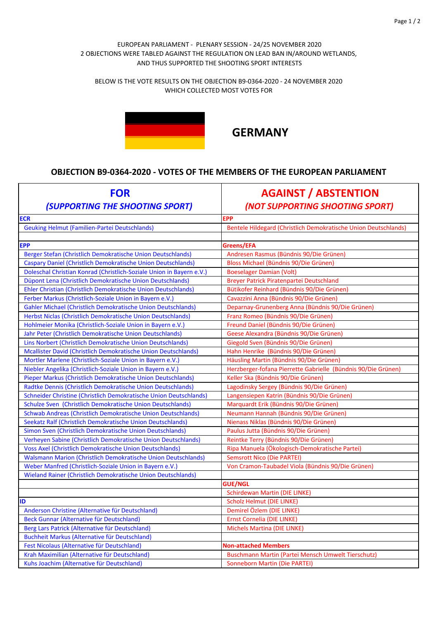BELOW IS THE VOTE RESULTS ON THE OBJECTION B9‐0364‐2020 ‐ 24 NOVEMBER 2020 WHICH COLLECTED MOST VOTES FOR



# **GERMANY**

| <b>FOR</b><br>(SUPPORTING THE SHOOTING SPORT)                        | <b>AGAINST / ABSTENTION</b><br>(NOT SUPPORTING SHOOTING SPORT)  |
|----------------------------------------------------------------------|-----------------------------------------------------------------|
| <b>ECR</b>                                                           | <b>EPP</b>                                                      |
| <b>Geuking Helmut (Familien-Partei Deutschlands)</b>                 | Bentele Hildegard (Christlich Demokratische Union Deutschlands) |
|                                                                      |                                                                 |
| <b>EPP</b>                                                           | Greens/EFA                                                      |
| Berger Stefan (Christlich Demokratische Union Deutschlands)          | Andresen Rasmus (Bündnis 90/Die Grünen)                         |
| Caspary Daniel (Christlich Demokratische Union Deutschlands)         | Bloss Michael (Bündnis 90/Die Grünen)                           |
| Doleschal Christian Konrad (Christlich-Soziale Union in Bayern e.V.) | <b>Boeselager Damian (Volt)</b>                                 |
| Düpont Lena (Christlich Demokratische Union Deutschlands)            | Breyer Patrick Piratenpartei Deutschland                        |
| Ehler Christian (Christlich Demokratische Union Deutschlands)        | Bütikofer Reinhard (Bündnis 90/Die Grünen)                      |
| Ferber Markus (Christlich-Soziale Union in Bayern e.V.)              | Cavazzini Anna (Bündnis 90/Die Grünen)                          |
| Gahler Michael (Christlich Demokratische Union Deutschlands)         | Deparnay-Grunenberg Anna (Bündnis 90/Die Grünen)                |
| Herbst Niclas (Christlich Demokratische Union Deutschlands)          | Franz Romeo (Bündnis 90/Die Grünen)                             |
| Hohlmeier Monika (Christlich-Soziale Union in Bayern e.V.)           | Freund Daniel (Bündnis 90/Die Grünen)                           |
| Jahr Peter (Christlich Demokratische Union Deutschlands)             | Geese Alexandra (Bündnis 90/Die Grünen)                         |
| Lins Norbert (Christlich Demokratische Union Deutschlands)           | Giegold Sven (Bündnis 90/Die Grünen)                            |
| Mcallister David (Christlich Demokratische Union Deutschlands)       | Hahn Henrike (Bündnis 90/Die Grünen)                            |
| Mortler Marlene (Christlich-Soziale Union in Bayern e.V.)            | Häusling Martin (Bündnis 90/Die Grünen)                         |
| Niebler Angelika (Christlich-Soziale Union in Bayern e.V.)           | Herzberger-fofana Pierrette Gabrielle (Bündnis 90/Die Grünen)   |
| Pieper Markus (Christlich Demokratische Union Deutschlands)          | Keller Ska (Bündnis 90/Die Grünen)                              |
| Radtke Dennis (Christlich Demokratische Union Deutschlands)          | Lagodinsky Sergey (Bündnis 90/Die Grünen)                       |
| Schneider Christine (Christlich Demokratische Union Deutschlands)    | Langensiepen Katrin (Bündnis 90/Die Grünen)                     |
| Schulze Sven (Christlich Demokratische Union Deutschlands)           | Marquardt Erik (Bündnis 90/Die Grünen)                          |
| Schwab Andreas (Christlich Demokratische Union Deutschlands)         | Neumann Hannah (Bündnis 90/Die Grünen)                          |
| Seekatz Ralf (Christlich Demokratische Union Deutschlands)           | Nienass Niklas (Bündnis 90/Die Grünen)                          |
| Simon Sven (Christlich Demokratische Union Deutschlands)             | Paulus Jutta (Bündnis 90/Die Grünen)                            |
| Verheyen Sabine (Christlich Demokratische Union Deutschlands)        | Reintke Terry (Bündnis 90/Die Grünen)                           |
| <b>Voss Axel (Christlich Demokratische Union Deutschlands)</b>       | Ripa Manuela (Ökologisch-Demokratische Partei)                  |
| Walsmann Marion (Christlich Demokratische Union Deutschlands)        | <b>Semsrott Nico (Die PARTEI)</b>                               |
| Weber Manfred (Christlich-Soziale Union in Bayern e.V.)              | Von Cramon-Taubadel Viola (Bündnis 90/Die Grünen)               |
| Wieland Rainer (Christlich Demokratische Union Deutschlands)         |                                                                 |
|                                                                      | <b>GUE/NGL</b>                                                  |
|                                                                      | <b>Schirdewan Martin (DIE LINKE)</b>                            |
| ID                                                                   | <b>Scholz Helmut (DIE LINKE)</b>                                |
| Anderson Christine (Alternative für Deutschland)                     | Demirel Ozlem (DIE LINKE)                                       |
| Beck Gunnar (Alternative für Deutschland)                            | Ernst Cornelia (DIE LINKE)                                      |
| Berg Lars Patrick (Alternative für Deutschland)                      | Michels Martina (DIE LINKE)                                     |
| Buchheit Markus (Alternative für Deutschland)                        |                                                                 |
| Fest Nicolaus (Alternative für Deutschland)                          | <b>Non-attached Members</b>                                     |
| Krah Maximilian (Alternative für Deutschland)                        | Buschmann Martin (Partei Mensch Umwelt Tierschutz)              |
| Kuhs Joachim (Alternative für Deutschland)                           | <b>Sonneborn Martin (Die PARTEI)</b>                            |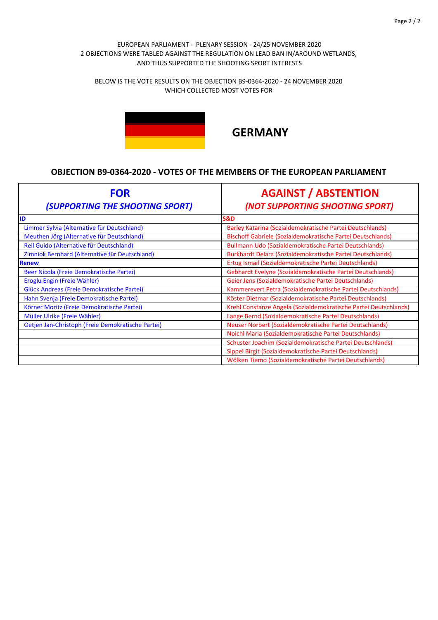BELOW IS THE VOTE RESULTS ON THE OBJECTION B9‐0364‐2020 ‐ 24 NOVEMBER 2020 WHICH COLLECTED MOST VOTES FOR



# **GERMANY**

| <b>FOR</b><br>(SUPPORTING THE SHOOTING SPORT)     | <b>AGAINST / ABSTENTION</b><br>(NOT SUPPORTING SHOOTING SPORT)   |
|---------------------------------------------------|------------------------------------------------------------------|
| ID                                                | <b>S&amp;D</b>                                                   |
| Limmer Sylvia (Alternative für Deutschland)       | Barley Katarina (Sozialdemokratische Partei Deutschlands)        |
| Meuthen Jörg (Alternative für Deutschland)        | Bischoff Gabriele (Sozialdemokratische Partei Deutschlands)      |
| Reil Guido (Alternative für Deutschland)          | Bullmann Udo (Sozialdemokratische Partei Deutschlands)           |
| Zimniok Bernhard (Alternative für Deutschland)    | Burkhardt Delara (Sozialdemokratische Partei Deutschlands)       |
| <b>Renew</b>                                      | Ertug Ismail (Sozialdemokratische Partei Deutschlands)           |
| Beer Nicola (Freie Demokratische Partei)          | Gebhardt Evelyne (Sozialdemokratische Partei Deutschlands)       |
| Eroglu Engin (Freie Wähler)                       | Geier Jens (Sozialdemokratische Partei Deutschlands)             |
| Glück Andreas (Freie Demokratische Partei)        | Kammerevert Petra (Sozialdemokratische Partei Deutschlands)      |
| Hahn Svenja (Freie Demokratische Partei)          | Köster Dietmar (Sozialdemokratische Partei Deutschlands)         |
| Körner Moritz (Freie Demokratische Partei)        | Krehl Constanze Angela (Sozialdemokratische Partei Deutschlands) |
| Müller Ulrike (Freie Wähler)                      | Lange Bernd (Sozialdemokratische Partei Deutschlands)            |
| Oetjen Jan-Christoph (Freie Demokratische Partei) | Neuser Norbert (Sozialdemokratische Partei Deutschlands)         |
|                                                   | Noichl Maria (Sozialdemokratische Partei Deutschlands)           |
|                                                   | Schuster Joachim (Sozialdemokratische Partei Deutschlands)       |
|                                                   | Sippel Birgit (Sozialdemokratische Partei Deutschlands)          |
|                                                   | Wölken Tiemo (Sozialdemokratische Partei Deutschlands)           |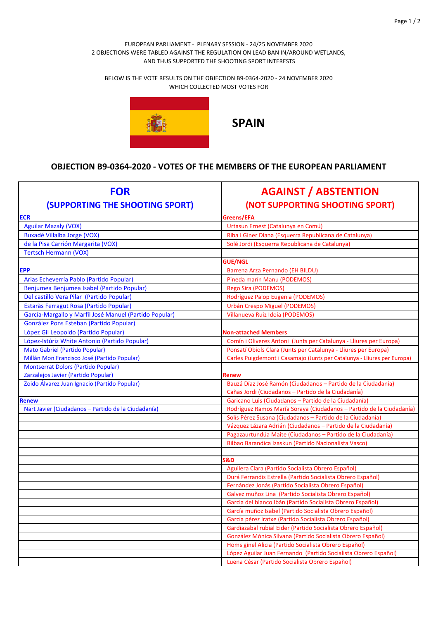BELOW IS THE VOTE RESULTS ON THE OBJECTION B9‐0364‐2020 ‐ 24 NOVEMBER 2020 WHICH COLLECTED MOST VOTES FOR



**SPAIN**

| <b>FOR</b><br><b>(SUPPORTING THE SHOOTING SPORT)</b>   | <b>AGAINST / ABSTENTION</b><br>(NOT SUPPORTING SHOOTING SPORT)                                                          |
|--------------------------------------------------------|-------------------------------------------------------------------------------------------------------------------------|
| <b>ECR</b>                                             | Greens/EFA                                                                                                              |
| <b>Aguilar Mazaly (VOX)</b>                            | Urtasun Ernest (Catalunya en Comú)                                                                                      |
| <b>Buxadé Villalba Jorge (VOX)</b>                     | Riba i Giner Diana (Esquerra Republicana de Catalunya)                                                                  |
| de la Pisa Carrión Margarita (VOX)                     | Solé Jordi (Esquerra Republicana de Catalunya)                                                                          |
| <b>Tertsch Hermann (VOX)</b>                           |                                                                                                                         |
|                                                        | <b>GUE/NGL</b>                                                                                                          |
| <b>EPP</b>                                             | Barrena Arza Pernando (EH BILDU)                                                                                        |
| Arias Echeverría Pablo (Partido Popular)               | Pineda marín Manu (PODEMOS)                                                                                             |
| Benjumea Benjumea Isabel (Partido Popular)             | Rego Sira (PODEMOS)                                                                                                     |
| Del castillo Vera Pilar (Partido Popular)              | Rodríguez Palop Eugenia (PODEMOS)                                                                                       |
| Estaràs Ferragut Rosa (Partido Popular)                | Urbán Crespo Miguel (PODEMOS)                                                                                           |
| García-Margallo y Marfil José Manuel (Partido Popular) | Villanueva Ruiz Idoia (PODEMOS)                                                                                         |
| González Pons Esteban (Partido Popular)                |                                                                                                                         |
| López Gil Leopoldo (Partido Popular)                   | <b>Non-attached Members</b>                                                                                             |
| López-Istúriz White Antonio (Partido Popular)          | Comín i Oliveres Antoni (Junts per Catalunya - Lliures per Europa)                                                      |
| <b>Mato Gabriel (Partido Popular)</b>                  | Ponsatí Obiols Clara (Junts per Catalunya - Lliures per Europa)                                                         |
| Millán Mon Francisco José (Partido Popular)            | Carles Puigdemont i Casamajo (Junts per Catalunya - Lliures per Europa)                                                 |
| <b>Montserrat Dolors (Partido Popular)</b>             |                                                                                                                         |
| Zarzalejos Javier (Partido Popular)                    | Renew                                                                                                                   |
| Zoido Álvarez Juan Ignacio (Partido Popular)           | Bauzá Díaz José Ramón (Ciudadanos - Partido de la Ciudadanía)                                                           |
|                                                        | Cañas Jordi (Ciudadanos - Partido de la Ciudadanía)                                                                     |
| <b>Renew</b>                                           | Garicano Luis (Ciudadanos - Partido de la Ciudadanía)                                                                   |
| Nart Javier (Ciudadanos - Partido de la Ciudadanía)    | Rodríguez Ramos María Soraya (Ciudadanos - Partido de la Ciudadanía)                                                    |
|                                                        | Solís Pérez Susana (Ciudadanos - Partido de la Ciudadanía)                                                              |
|                                                        | Vázquez Lázara Adrián (Ciudadanos - Partido de la Ciudadanía)                                                           |
|                                                        | Pagazaurtundúa Maite (Ciudadanos - Partido de la Ciudadanía)                                                            |
|                                                        | Bilbao Barandica Izaskun (Partido Nacionalista Vasco)                                                                   |
|                                                        |                                                                                                                         |
|                                                        | S&D                                                                                                                     |
|                                                        | Aguilera Clara (Partido Socialista Obrero Español)                                                                      |
|                                                        | Durá Ferrandis Estrella (Partido Socialista Obrero Español)                                                             |
|                                                        | Fernández Jonás (Partido Socialista Obrero Español)                                                                     |
|                                                        | Galvez muñoz Lina (Partido Socialista Obrero Español)                                                                   |
|                                                        | Garcia del blanco Ibán (Partido Socialista Obrero Español)                                                              |
|                                                        | García muñoz Isabel (Partido Socialista Obrero Español)                                                                 |
|                                                        | García pérez Iratxe (Partido Socialista Obrero Español)<br>Gardiazabal rubial Eider (Partido Socialista Obrero Español) |
|                                                        | González Mónica Silvana (Partido Socialista Obrero Español)                                                             |
|                                                        | Homs ginel Alicia (Partido Socialista Obrero Español)                                                                   |
|                                                        | López Aguilar Juan Fernando (Partido Socialista Obrero Español)                                                         |
|                                                        | Luena César (Partido Socialista Obrero Español)                                                                         |
|                                                        |                                                                                                                         |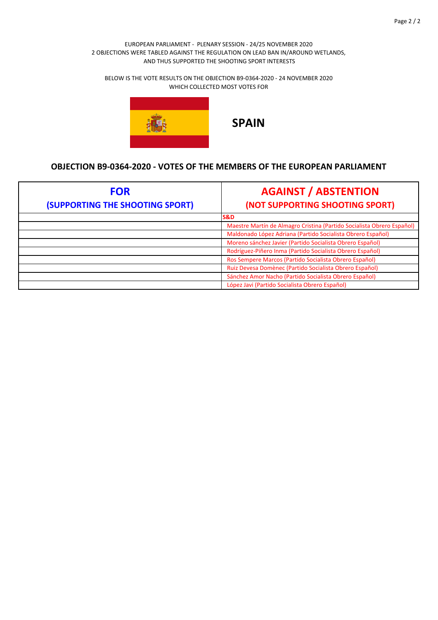BELOW IS THE VOTE RESULTS ON THE OBJECTION B9‐0364‐2020 ‐ 24 NOVEMBER 2020 WHICH COLLECTED MOST VOTES FOR



| <b>FOR</b><br>(SUPPORTING THE SHOOTING SPORT) | <b>AGAINST / ABSTENTION</b><br>(NOT SUPPORTING SHOOTING SPORT)         |
|-----------------------------------------------|------------------------------------------------------------------------|
|                                               | <b>S&amp;D</b>                                                         |
|                                               | Maestre Martín de Almagro Cristina (Partido Socialista Obrero Español) |
|                                               | Maldonado López Adriana (Partido Socialista Obrero Español)            |
|                                               | Moreno sánchez Javier (Partido Socialista Obrero Español)              |
|                                               | Rodríguez-Piñero Inma (Partido Socialista Obrero Español)              |
|                                               | Ros Sempere Marcos (Partido Socialista Obrero Español)                 |
|                                               | Ruiz Devesa Domènec (Partido Socialista Obrero Español)                |
|                                               | Sánchez Amor Nacho (Partido Socialista Obrero Español)                 |
|                                               | López Javi (Partido Socialista Obrero Español)                         |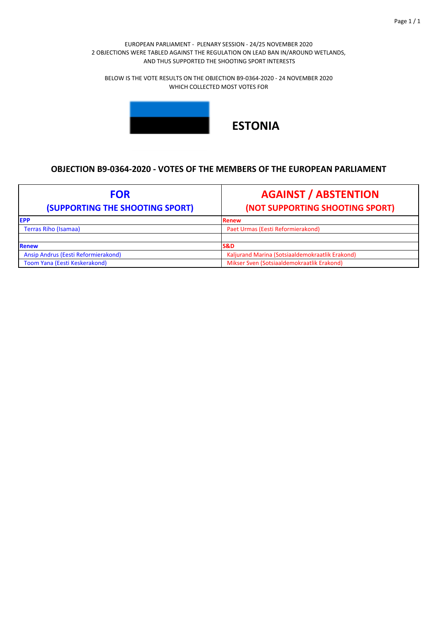BELOW IS THE VOTE RESULTS ON THE OBJECTION B9‐0364‐2020 ‐ 24 NOVEMBER 2020 WHICH COLLECTED MOST VOTES FOR



# **ESTONIA**

| <b>FOR</b><br>(SUPPORTING THE SHOOTING SPORT) | <b>AGAINST / ABSTENTION</b><br>(NOT SUPPORTING SHOOTING SPORT) |
|-----------------------------------------------|----------------------------------------------------------------|
| <b>EPP</b>                                    | Renew                                                          |
| <b>Terras Riho (Isamaa)</b>                   | Paet Urmas (Eesti Reformierakond)                              |
|                                               |                                                                |
| <b>Renew</b>                                  | <b>S&amp;D</b>                                                 |
| Ansip Andrus (Eesti Reformierakond)           | Kaljurand Marina (Sotsiaaldemokraatlik Erakond)                |
| Toom Yana (Eesti Keskerakond)                 | Mikser Sven (Sotsiaaldemokraatlik Erakond)                     |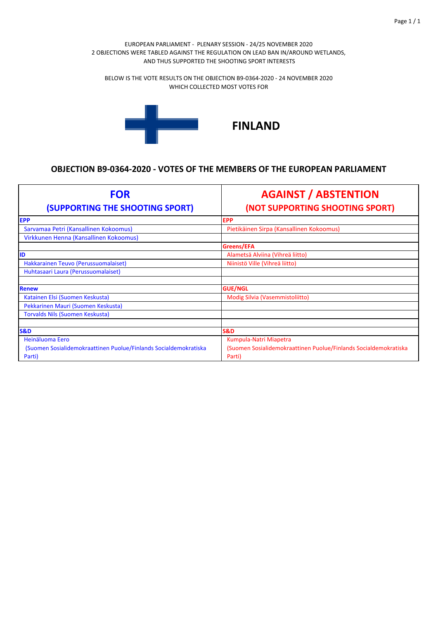BELOW IS THE VOTE RESULTS ON THE OBJECTION B9‐0364‐2020 ‐ 24 NOVEMBER 2020 WHICH COLLECTED MOST VOTES FOR



| <b>FOR</b><br>(SUPPORTING THE SHOOTING SPORT)                    | <b>AGAINST / ABSTENTION</b><br>(NOT SUPPORTING SHOOTING SPORT)   |
|------------------------------------------------------------------|------------------------------------------------------------------|
| <b>EPP</b>                                                       | <b>EPP</b>                                                       |
| Sarvamaa Petri (Kansallinen Kokoomus)                            | Pietikäinen Sirpa (Kansallinen Kokoomus)                         |
| Virkkunen Henna (Kansallinen Kokoomus)                           |                                                                  |
|                                                                  | Greens/EFA                                                       |
| ID                                                               | Alametsä Alviina (Vihreä liitto)                                 |
| Hakkarainen Teuvo (Perussuomalaiset)                             | Niinistö Ville (Vihreä liitto)                                   |
| Huhtasaari Laura (Perussuomalaiset)                              |                                                                  |
|                                                                  |                                                                  |
| <b>Renew</b>                                                     | <b>GUE/NGL</b>                                                   |
| Katainen Elsi (Suomen Keskusta)                                  | Modig Silvia (Vasemmistoliitto)                                  |
| Pekkarinen Mauri (Suomen Keskusta)                               |                                                                  |
| <b>Torvalds Nils (Suomen Keskusta)</b>                           |                                                                  |
|                                                                  |                                                                  |
| <b>S&amp;D</b>                                                   | <b>S&amp;D</b>                                                   |
| Heinäluoma Eero                                                  | Kumpula-Natri Miapetra                                           |
| (Suomen Sosialidemokraattinen Puolue/Finlands Socialdemokratiska | (Suomen Sosialidemokraattinen Puolue/Finlands Socialdemokratiska |
| Parti)                                                           | Parti)                                                           |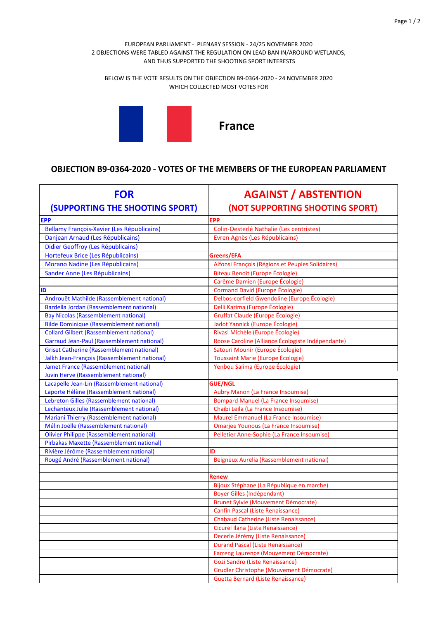BELOW IS THE VOTE RESULTS ON THE OBJECTION B9‐0364‐2020 ‐ 24 NOVEMBER 2020 WHICH COLLECTED MOST VOTES FOR



| <b>FOR</b>                                        | <b>AGAINST / ABSTENTION</b>                       |
|---------------------------------------------------|---------------------------------------------------|
| (SUPPORTING THE SHOOTING SPORT)                   | (NOT SUPPORTING SHOOTING SPORT)                   |
| <b>EPP</b>                                        | EPP                                               |
| Bellamy François-Xavier (Les Républicains)        | Colin-Oesterlé Nathalie (Les centristes)          |
| Danjean Arnaud (Les Républicains)                 | Evren Agnès (Les Républicains)                    |
| Didier Geoffroy (Les Républicains)                |                                                   |
| Hortefeux Brice (Les Républicains)                | Greens/EFA                                        |
| Morano Nadine (Les Républicains)                  | Alfonsi François (Régions et Peuples Solidaires)  |
| Sander Anne (Les Républicains)                    | Biteau Benoît (Europe Écologie)                   |
|                                                   | Carême Damien (Europe Écologie)                   |
| ID                                                | <b>Cormand David (Europe Écologie)</b>            |
| Androuët Mathilde (Rassemblement national)        | Delbos-corfield Gwendoline (Europe Écologie)      |
| <b>Bardella Jordan (Rassemblement national)</b>   | Delli Karima (Europe Écologie)                    |
| <b>Bay Nicolas (Rassemblement national)</b>       | Gruffat Claude (Europe Écologie)                  |
| <b>Bilde Dominique (Rassemblement national)</b>   | Jadot Yannick (Europe Écologie)                   |
| <b>Collard Gilbert (Rassemblement national)</b>   | Rivasi Michèle (Europe Écologie)                  |
| <b>Garraud Jean-Paul (Rassemblement national)</b> | Roose Caroline (Alliance Écologiste Indépendante) |
| <b>Griset Catherine (Rassemblement national)</b>  | Satouri Mounir (Europe Écologie)                  |
| Jalkh Jean-François (Rassemblement national)      | <b>Toussaint Marie (Europe Écologie)</b>          |
| Jamet France (Rassemblement national)             | Yenbou Salima (Europe Écologie)                   |
| Juvin Herve (Rassemblement national)              |                                                   |
| Lacapelle Jean-Lin (Rassemblement national)       | <b>GUE/NGL</b>                                    |
| Laporte Hélène (Rassemblement national)           | Aubry Manon (La France Insoumise)                 |
| Lebreton Gilles (Rassemblement national)          | <b>Bompard Manuel (La France Insoumise)</b>       |
| Lechanteux Julie (Rassemblement national)         | Chaibi Leila (La France Insoumise)                |
| <b>Mariani Thierry (Rassemblement national)</b>   | Maurel Emmanuel (La France Insoumise)             |
| Mélin Joëlle (Rassemblement national)             | Omarjee Younous (La France Insoumise)             |
| <b>Olivier Philippe (Rassemblement national)</b>  | Pelletier Anne-Sophie (La France Insoumise)       |
| Pirbakas Maxette (Rassemblement national)         |                                                   |
| Rivière Jérôme (Rassemblement national)           | ID                                                |
| Rougé André (Rassemblement national)              | Beigneux Aurelia (Rassemblement national)         |
|                                                   |                                                   |
|                                                   | Renew                                             |
|                                                   | Bijoux Stéphane (La République en marche)         |
|                                                   | <b>Boyer Gilles (Indépendant)</b>                 |
|                                                   | <b>Brunet Sylvie (Mouvement Démocrate)</b>        |
|                                                   | Canfin Pascal (Liste Renaissance)                 |
|                                                   | <b>Chabaud Catherine (Liste Renaissance)</b>      |
|                                                   | Cicurel Ilana (Liste Renaissance)                 |
|                                                   | Decerle Jérémy (Liste Renaissance)                |
|                                                   | <b>Durand Pascal (Liste Renaissance)</b>          |
|                                                   | Farreng Laurence (Mouvement Démocrate)            |
|                                                   | Gozi Sandro (Liste Renaissance)                   |
|                                                   | <b>Grudler Christophe (Mouvement Démocrate)</b>   |
|                                                   | <b>Guetta Bernard (Liste Renaissance)</b>         |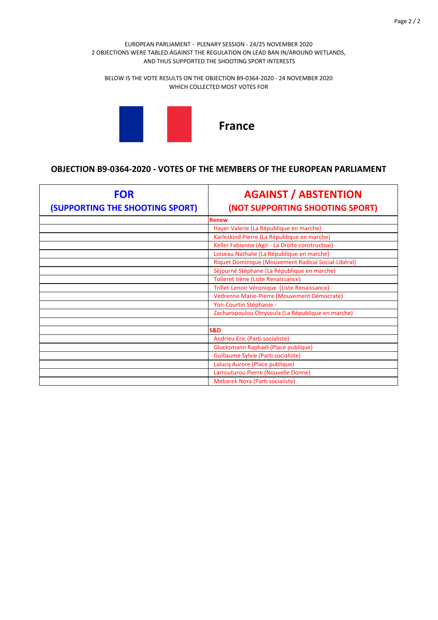BELOW IS THE VOTE RESULTS ON THE OBJECTION B9‐0364‐2020 ‐ 24 NOVEMBER 2020 WHICH COLLECTED MOST VOTES FOR



| <b>FOR</b><br>(SUPPORTING THE SHOOTING SPORT) | <b>AGAINST / ABSTENTION</b><br>(NOT SUPPORTING SHOOTING SPORT) |
|-----------------------------------------------|----------------------------------------------------------------|
|                                               | <b>Renew</b>                                                   |
|                                               | Hayer Valerie (La République en marche)                        |
|                                               | Karleskind Pierre (La République en marche)                    |
|                                               | Keller Fabienne (Agir - La Droite constructive)                |
|                                               | Loiseau Nathalie (La République en marche)                     |
|                                               | Riquet Dominique (Mouvement Radical Social-Libéral)            |
|                                               | Séjourné Stéphane (La République en marche)                    |
|                                               | Tolleret Irène (Liste Renaissance)                             |
|                                               | Trillet-Lenoir Véronique (Liste Renaissance)                   |
|                                               | Vedrenne Marie-Pierre (Mouvement Démocrate)                    |
|                                               | Yon-Courtin Stéphanie -                                        |
|                                               | Zacharopoulou Chrysoula (La République en marche)              |
|                                               |                                                                |
|                                               | <b>S&amp;D</b>                                                 |
|                                               | Andrieu Eric (Parti socialiste)                                |
|                                               | Glucksmann Raphaël (Place publique)                            |
|                                               | Guillaume Sylvie (Parti socialiste)                            |
|                                               | Lalucq Aurore (Place publique)                                 |
|                                               | Larrouturou Pierre (Nouvelle Donne)                            |
|                                               | Mebarek Nora (Parti socialiste)                                |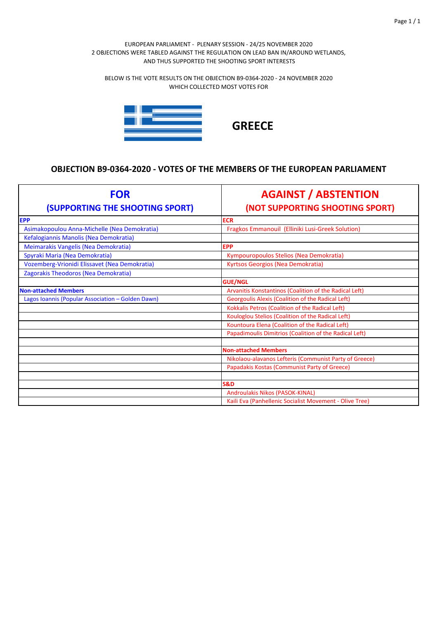BELOW IS THE VOTE RESULTS ON THE OBJECTION B9‐0364‐2020 ‐ 24 NOVEMBER 2020 WHICH COLLECTED MOST VOTES FOR



| <b>FOR</b><br>(SUPPORTING THE SHOOTING SPORT)     | <b>AGAINST / ABSTENTION</b><br>(NOT SUPPORTING SHOOTING SPORT) |
|---------------------------------------------------|----------------------------------------------------------------|
| <b>EPP</b>                                        | <b>ECR</b>                                                     |
| Asimakopoulou Anna-Michelle (Nea Demokratia)      | Fragkos Emmanouil (Elliniki Lusi-Greek Solution)               |
| Kefalogiannis Manolis (Nea Demokratia)            |                                                                |
| Meimarakis Vangelis (Nea Demokratia)              | <b>EPP</b>                                                     |
| Spyraki Maria (Nea Demokratia)                    | Kympouropoulos Stelios (Nea Demokratia)                        |
| Vozemberg-Vrionidi Elissavet (Nea Demokratia)     | Kyrtsos Georgios (Nea Demokratia)                              |
| Zagorakis Theodoros (Nea Demokratia)              |                                                                |
|                                                   | <b>GUE/NGL</b>                                                 |
| <b>Non-attached Members</b>                       | Arvanitis Konstantinos (Coalition of the Radical Left)         |
| Lagos Ioannis (Popular Association - Golden Dawn) | Georgoulis Alexis (Coalition of the Radical Left)              |
|                                                   | Kokkalis Petros (Coalition of the Radical Left)                |
|                                                   | Kouloglou Stelios (Coalition of the Radical Left)              |
|                                                   | Kountoura Elena (Coalition of the Radical Left)                |
|                                                   | Papadimoulis Dimitrios (Coalition of the Radical Left)         |
|                                                   |                                                                |
|                                                   | <b>Non-attached Members</b>                                    |
|                                                   | Nikolaou-alavanos Lefteris (Communist Party of Greece)         |
|                                                   | Papadakis Kostas (Communist Party of Greece)                   |
|                                                   |                                                                |
|                                                   | <b>S&amp;D</b>                                                 |
|                                                   | Androulakis Nikos (PASOK-KINAL)                                |
|                                                   | Kaili Eva (Panhellenic Socialist Movement - Olive Tree)        |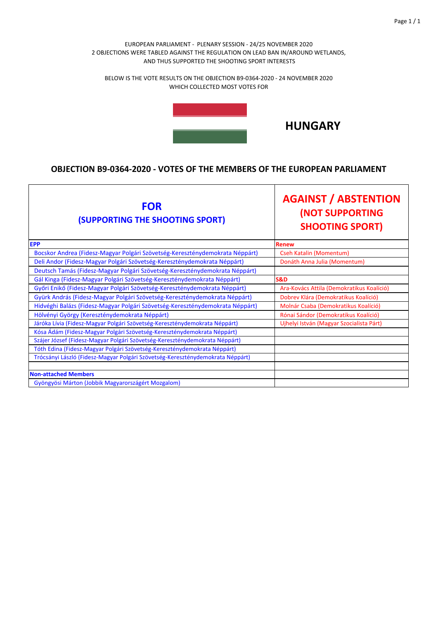BELOW IS THE VOTE RESULTS ON THE OBJECTION B9‐0364‐2020 ‐ 24 NOVEMBER 2020 WHICH COLLECTED MOST VOTES FOR



# **HUNGARY**

| <b>FOR</b><br>(SUPPORTING THE SHOOTING SPORT)                                  | <b>AGAINST / ABSTENTION</b><br><b>(NOT SUPPORTING</b><br><b>SHOOTING SPORT)</b> |
|--------------------------------------------------------------------------------|---------------------------------------------------------------------------------|
| <b>EPP</b>                                                                     | <b>Renew</b>                                                                    |
| Bocskor Andrea (Fidesz-Magyar Polgári Szövetség-Kereszténydemokrata Néppárt)   | <b>Cseh Katalin (Momentum)</b>                                                  |
| Deli Andor (Fidesz-Magyar Polgári Szövetség-Kereszténydemokrata Néppárt)       | Donáth Anna Julia (Momentum)                                                    |
| Deutsch Tamás (Fidesz-Magyar Polgári Szövetség-Kereszténydemokrata Néppárt)    |                                                                                 |
| Gál Kinga (Fidesz-Magyar Polgári Szövetség-Kereszténydemokrata Néppárt)        | <b>S&amp;D</b>                                                                  |
| Győri Enikő (Fidesz-Magyar Polgári Szövetség-Kereszténydemokrata Néppárt)      | Ara-Kovács Attila (Demokratikus Koalíció)                                       |
| Gyürk András (Fidesz-Magyar Polgári Szövetség-Kereszténydemokrata Néppárt)     | Dobrev Klára (Demokratikus Koalíció)                                            |
| Hidvéghi Balázs (Fidesz-Magyar Polgári Szövetség-Kereszténydemokrata Néppárt)  | Molnár Csaba (Demokratikus Koalíció)                                            |
| Hölvényi György (Kereszténydemokrata Néppárt)                                  | Rónai Sándor (Demokratikus Koalíció)                                            |
| Járóka Lívia (Fidesz-Magyar Polgári Szövetség-Kereszténydemokrata Néppárt)     | Ujhelyi István (Magyar Szocialista Párt)                                        |
| Kósa Ádám (Fidesz-Magyar Polgári Szövetség-Kereszténydemokrata Néppárt)        |                                                                                 |
| Szájer József (Fidesz-Magyar Polgári Szövetség-Kereszténydemokrata Néppárt)    |                                                                                 |
| Tóth Edina (Fidesz-Magyar Polgári Szövetség-Kereszténydemokrata Néppárt)       |                                                                                 |
| Trócsányi László (Fidesz-Magyar Polgári Szövetség-Kereszténydemokrata Néppárt) |                                                                                 |
|                                                                                |                                                                                 |
| <b>Non-attached Members</b>                                                    |                                                                                 |
| Gyöngyösi Márton (Jobbik Magyarországért Mozgalom)                             |                                                                                 |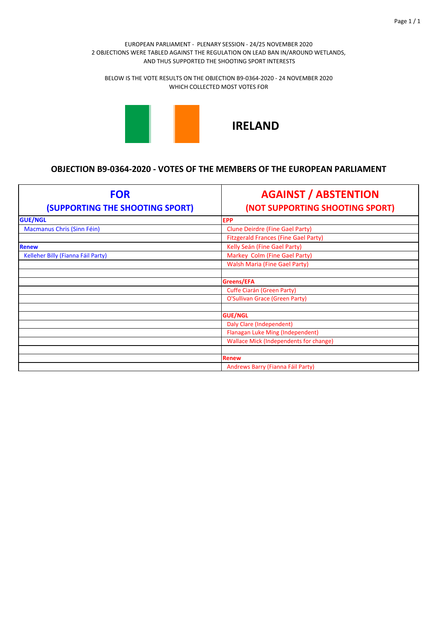BELOW IS THE VOTE RESULTS ON THE OBJECTION B9‐0364‐2020 ‐ 24 NOVEMBER 2020 WHICH COLLECTED MOST VOTES FOR



**IRELAND**

| <b>FOR</b><br>(SUPPORTING THE SHOOTING SPORT) | <b>AGAINST / ABSTENTION</b><br>(NOT SUPPORTING SHOOTING SPORT) |
|-----------------------------------------------|----------------------------------------------------------------|
| <b>GUE/NGL</b>                                | <b>EPP</b>                                                     |
| Macmanus Chris (Sinn Féin)                    | Clune Deirdre (Fine Gael Party)                                |
|                                               | <b>Fitzgerald Frances (Fine Gael Party)</b>                    |
| <b>Renew</b>                                  | Kelly Seán (Fine Gael Party)                                   |
| Kelleher Billy (Fianna Fáil Party)            | Markey Colm (Fine Gael Party)                                  |
|                                               | <b>Walsh Maria (Fine Gael Party)</b>                           |
|                                               |                                                                |
|                                               | Greens/EFA                                                     |
|                                               | Cuffe Ciarán (Green Party)                                     |
|                                               | O'Sullivan Grace (Green Party)                                 |
|                                               |                                                                |
|                                               | <b>GUE/NGL</b>                                                 |
|                                               | <b>Daly Clare (Independent)</b>                                |
|                                               | Flanagan Luke Ming (Independent)                               |
|                                               | <b>Wallace Mick (Independents for change)</b>                  |
|                                               |                                                                |
|                                               | <b>Renew</b>                                                   |
|                                               | Andrews Barry (Fianna Fáil Party)                              |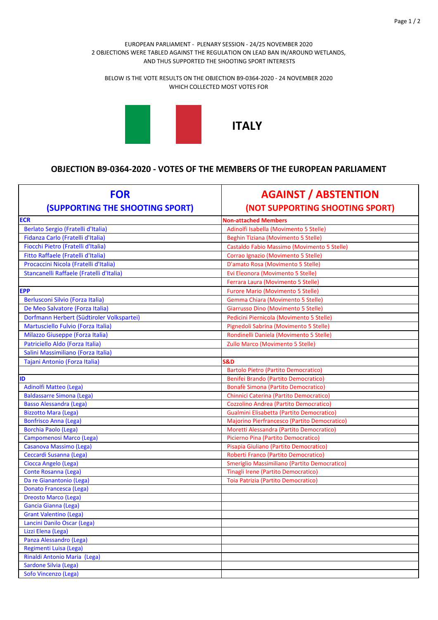BELOW IS THE VOTE RESULTS ON THE OBJECTION B9‐0364‐2020 ‐ 24 NOVEMBER 2020 WHICH COLLECTED MOST VOTES FOR



| <b>FOR</b><br>(SUPPORTING THE SHOOTING SPORT)          | <b>AGAINST / ABSTENTION</b><br>(NOT SUPPORTING SHOOTING SPORT) |
|--------------------------------------------------------|----------------------------------------------------------------|
| <b>ECR</b>                                             | <b>Non-attached Members</b>                                    |
| Berlato Sergio (Fratelli d'Italia)                     | Adinolfi Isabella (Movimento 5 Stelle)                         |
| Fidanza Carlo (Fratelli d'Italia)                      | Beghin Tiziana (Movimento 5 Stelle)                            |
| Fiocchi Pietro (Fratelli d'Italia)                     | Castaldo Fabio Massimo (Movimento 5 Stelle)                    |
| Fitto Raffaele (Fratelli d'Italia)                     | Corrao Ignazio (Movimento 5 Stelle)                            |
| Procaccini Nicola (Fratelli d'Italia)                  | D'amato Rosa (Movimento 5 Stelle)                              |
| Stancanelli Raffaele (Fratelli d'Italia)               | Evi Eleonora (Movimento 5 Stelle)                              |
|                                                        | Ferrara Laura (Movimento 5 Stelle)                             |
| <b>EPP</b>                                             | <b>Furore Mario (Movimento 5 Stelle)</b>                       |
| Berlusconi Silvio (Forza Italia)                       | Gemma Chiara (Movimento 5 Stelle)                              |
| De Meo Salvatore (Forza Italia)                        | Giarrusso Dino (Movimento 5 Stelle)                            |
| Dorfmann Herbert (Südtiroler Volkspartei)              | Pedicini Piernicola (Movimento 5 Stelle)                       |
| Martusciello Fulvio (Forza Italia)                     | Pignedoli Sabrina (Movimento 5 Stelle)                         |
| Milazzo Giuseppe (Forza Italia)                        | Rondinelli Daniela (Movimento 5 Stelle)                        |
| Patriciello Aldo (Forza Italia)                        | Zullo Marco (Movimento 5 Stelle)                               |
| Salini Massimiliano (Forza Italia)                     |                                                                |
| Tajani Antonio (Forza Italia)                          | S&D                                                            |
|                                                        | <b>Bartolo Pietro (Partito Democratico)</b>                    |
| ID                                                     | Benifei Brando (Partito Democratico)                           |
| Adinolfi Matteo (Lega)                                 | Bonafè Simona (Partito Democratico)                            |
| <b>Baldassarre Simona (Lega)</b>                       | Chinnici Caterina (Partito Democratico)                        |
| <b>Basso Alessandra (Lega)</b>                         | Cozzolino Andrea (Partito Democratico)                         |
| <b>Bizzotto Mara (Lega)</b>                            | Gualmini Elisabetta (Partito Democratico)                      |
| Bonfrisco Anna (Lega)                                  | Majorino Pierfrancesco (Partito Democratico)                   |
| <b>Borchia Paolo (Lega)</b>                            | Moretti Alessandra (Partito Democratico)                       |
| Campomenosi Marco (Lega)                               | Picierno Pina (Partito Democratico)                            |
| Casanova Massimo (Lega)                                | Pisapia Giuliano (Partito Democratico)                         |
| Ceccardi Susanna (Lega)                                | Roberti Franco (Partito Democratico)                           |
| Ciocca Angelo (Lega)                                   | Smeriglio Massimiliano (Partito Democratico)                   |
| Conte Rosanna (Lega)                                   | Tinagli Irene (Partito Democratico)                            |
| Da re Gianantonio (Lega)                               | Toia Patrizia (Partito Democratico)                            |
| Donato Francesca (Lega)                                |                                                                |
| <b>Dreosto Marco (Lega)</b>                            |                                                                |
| <b>Gancia Gianna (Lega)</b>                            |                                                                |
| <b>Grant Valentino (Lega)</b>                          |                                                                |
| Lancini Danilo Oscar (Lega)                            |                                                                |
| Lizzi Elena (Lega)                                     |                                                                |
| Panza Alessandro (Lega)                                |                                                                |
| Regimenti Luisa (Lega)<br>Rinaldi Antonio Maria (Lega) |                                                                |
| Sardone Silvia (Lega)                                  |                                                                |
| Sofo Vincenzo (Lega)                                   |                                                                |
|                                                        |                                                                |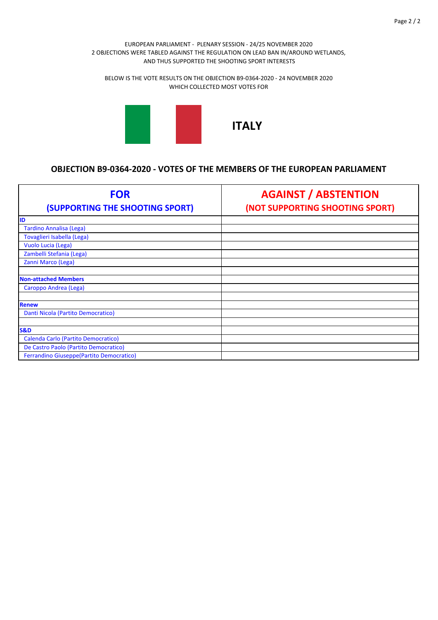BELOW IS THE VOTE RESULTS ON THE OBJECTION B9‐0364‐2020 ‐ 24 NOVEMBER 2020 WHICH COLLECTED MOST VOTES FOR



| <b>FOR</b><br>(SUPPORTING THE SHOOTING SPORT) | <b>AGAINST / ABSTENTION</b><br>(NOT SUPPORTING SHOOTING SPORT) |
|-----------------------------------------------|----------------------------------------------------------------|
| ID                                            |                                                                |
| <b>Tardino Annalisa (Lega)</b>                |                                                                |
| Tovaglieri Isabella (Lega)                    |                                                                |
| Vuolo Lucia (Lega)                            |                                                                |
| Zambelli Stefania (Lega)                      |                                                                |
| Zanni Marco (Lega)                            |                                                                |
| <b>Non-attached Members</b>                   |                                                                |
| Caroppo Andrea (Lega)                         |                                                                |
|                                               |                                                                |
| <b>Renew</b>                                  |                                                                |
| Danti Nicola (Partito Democratico)            |                                                                |
|                                               |                                                                |
| <b>S&amp;D</b>                                |                                                                |
| Calenda Carlo (Partito Democratico)           |                                                                |
| De Castro Paolo (Partito Democratico)         |                                                                |
| Ferrandino Giuseppe (Partito Democratico)     |                                                                |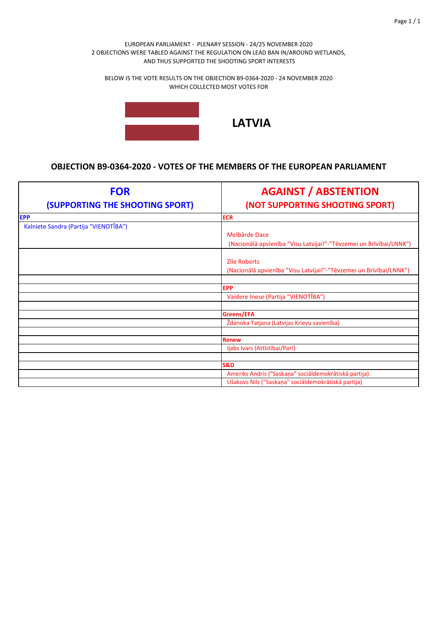BELOW IS THE VOTE RESULTS ON THE OBJECTION B9‐0364‐2020 ‐ 24 NOVEMBER 2020 WHICH COLLECTED MOST VOTES FOR



# **LATVIA**

| <b>FOR</b><br>(SUPPORTING THE SHOOTING SPORT) | <b>AGAINST / ABSTENTION</b><br>(NOT SUPPORTING SHOOTING SPORT)                      |
|-----------------------------------------------|-------------------------------------------------------------------------------------|
| <b>EPP</b>                                    | <b>ECR</b>                                                                          |
| Kalniete Sandra (Partija "VIENOTĪBA")         |                                                                                     |
|                                               | Melbārde Dace<br>(Nacionālā apvienība "Visu Latvijai!"-"Tēvzemei un Brīvībai/LNNK") |
|                                               | <b>Zīle Roberts</b>                                                                 |
|                                               | (Nacionālā apvienība "Visu Latvijai!"-"Tēvzemei un Brīvībai/LNNK")                  |
|                                               |                                                                                     |
|                                               | <b>EPP</b>                                                                          |
|                                               | Vaidere Inese (Partija "VIENOTĪBA")                                                 |
|                                               |                                                                                     |
|                                               | Greens/EFA                                                                          |
|                                               | Ždanoka Tatjana (Latvijas Krievu savienība)                                         |
|                                               |                                                                                     |
|                                               | <b>Renew</b>                                                                        |
|                                               | ljabs Ivars (Attīstībai/Par!)                                                       |
|                                               |                                                                                     |
|                                               | <b>S&amp;D</b>                                                                      |
|                                               | Ameriks Andris ("Saskaņa" sociāldemokrātiskā partija)                               |
|                                               | Ušakovs Nils ("Saskaņa" sociāldemokrātiskā partija)                                 |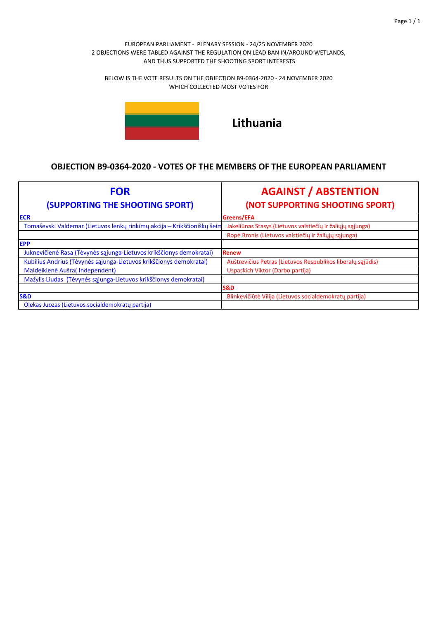BELOW IS THE VOTE RESULTS ON THE OBJECTION B9‐0364‐2020 ‐ 24 NOVEMBER 2020 WHICH COLLECTED MOST VOTES FOR



**Lithuania**

| <b>FOR</b><br>(SUPPORTING THE SHOOTING SPORT)                           | <b>AGAINST / ABSTENTION</b><br>(NOT SUPPORTING SHOOTING SPORT) |
|-------------------------------------------------------------------------|----------------------------------------------------------------|
| <b>ECR</b>                                                              | Greens/EFA                                                     |
| Tomaševski Valdemar (Lietuvos lenkų rinkimų akcija – Krikščioniškų šeim | Jakeliūnas Stasys (Lietuvos valstiečių ir žaliųjų sąjunga)     |
|                                                                         | Ropė Bronis (Lietuvos valstiečių ir žaliųjų sąjunga)           |
| <b>EPP</b>                                                              |                                                                |
| Juknevičienė Rasa (Tėvynės sąjunga-Lietuvos krikščionys demokratai)     | <b>Renew</b>                                                   |
| Kubilius Andrius (Tėvynės sąjunga-Lietuvos krikščionys demokratai)      | Auštrevičius Petras (Lietuvos Respublikos liberalų sąjūdis)    |
| Maldeikienė Aušra(Independent)                                          | Uspaskich Viktor (Darbo partija)                               |
| Mažylis Liudas (Tėvynės sąjunga-Lietuvos krikščionys demokratai)        |                                                                |
|                                                                         | <b>S&amp;D</b>                                                 |
| <b>S&amp;D</b>                                                          | Blinkevičiūtė Vilija (Lietuvos socialdemokratų partija)        |
| Olekas Juozas (Lietuvos socialdemokratų partija)                        |                                                                |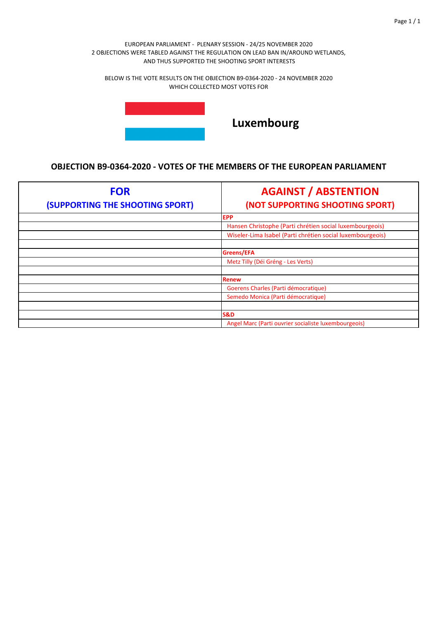BELOW IS THE VOTE RESULTS ON THE OBJECTION B9‐0364‐2020 ‐ 24 NOVEMBER 2020 WHICH COLLECTED MOST VOTES FOR



# **Luxembourg**

| <b>FOR</b>                      | <b>AGAINST / ABSTENTION</b>                                |
|---------------------------------|------------------------------------------------------------|
| (SUPPORTING THE SHOOTING SPORT) | (NOT SUPPORTING SHOOTING SPORT)                            |
|                                 | <b>EPP</b>                                                 |
|                                 | Hansen Christophe (Parti chrétien social luxembourgeois)   |
|                                 | Wiseler-Lima Isabel (Parti chrétien social luxembourgeois) |
|                                 |                                                            |
|                                 | Greens/EFA                                                 |
|                                 | Metz Tilly (Déi Gréng - Les Verts)                         |
|                                 |                                                            |
|                                 | <b>Renew</b>                                               |
|                                 | Goerens Charles (Parti démocratique)                       |
|                                 | Semedo Monica (Parti démocratique)                         |
|                                 |                                                            |
|                                 | <b>S&amp;D</b>                                             |
|                                 | Angel Marc (Parti ouvrier socialiste luxembourgeois)       |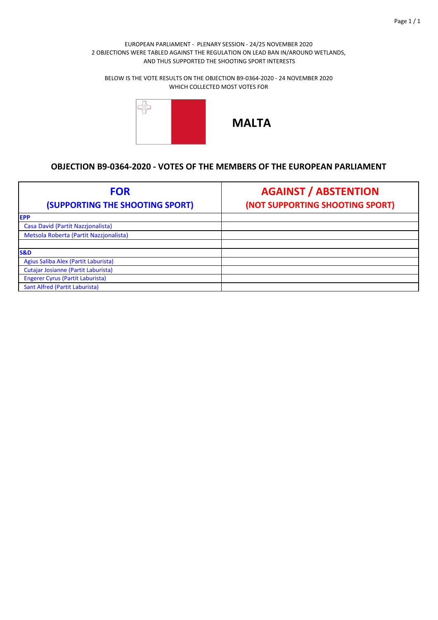BELOW IS THE VOTE RESULTS ON THE OBJECTION B9‐0364‐2020 ‐ 24 NOVEMBER 2020 WHICH COLLECTED MOST VOTES FOR



| <b>FOR</b><br>(SUPPORTING THE SHOOTING SPORT) | <b>AGAINST / ABSTENTION</b><br>(NOT SUPPORTING SHOOTING SPORT) |
|-----------------------------------------------|----------------------------------------------------------------|
| <b>EPP</b>                                    |                                                                |
| Casa David (Partit Nazzjonalista)             |                                                                |
| Metsola Roberta (Partit Nazzjonalista)        |                                                                |
|                                               |                                                                |
| <b>S&amp;D</b>                                |                                                                |
| Agius Saliba Alex (Partit Laburista)          |                                                                |
| Cutajar Josianne (Partit Laburista)           |                                                                |
| <b>Engerer Cyrus (Partit Laburista)</b>       |                                                                |
| Sant Alfred (Partit Laburista)                |                                                                |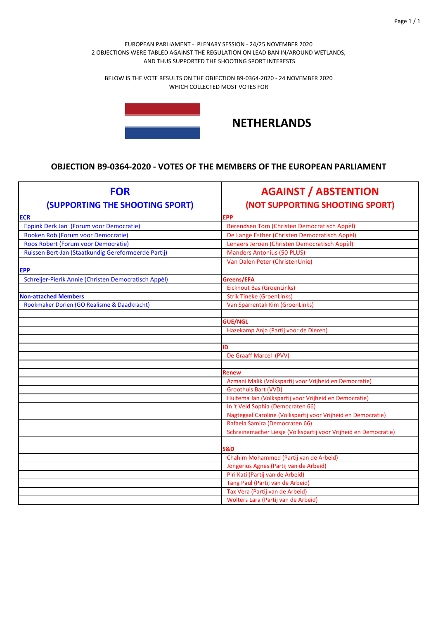BELOW IS THE VOTE RESULTS ON THE OBJECTION B9‐0364‐2020 ‐ 24 NOVEMBER 2020 WHICH COLLECTED MOST VOTES FOR



# **NETHERLANDS**

| <b>FOR</b>                                           | <b>AGAINST / ABSTENTION</b>                                     |
|------------------------------------------------------|-----------------------------------------------------------------|
| <b>(SUPPORTING THE SHOOTING SPORT)</b>               | (NOT SUPPORTING SHOOTING SPORT)                                 |
| <b>ECR</b>                                           | <b>EPP</b>                                                      |
| Eppink Derk Jan (Forum voor Democratie)              | Berendsen Tom (Christen Democratisch Appèl)                     |
| Rooken Rob (Forum voor Democratie)                   | De Lange Esther (Christen Democratisch Appèl)                   |
| Roos Robert (Forum voor Democratie)                  | Lenaers Jeroen (Christen Democratisch Appèl)                    |
| Ruissen Bert-Jan (Staatkundig Gereformeerde Partij)  | <b>Manders Antonius (50 PLUS)</b>                               |
|                                                      | Van Dalen Peter (ChristenUnie)                                  |
| <b>EPP</b>                                           |                                                                 |
| Schreijer-Pierik Annie (Christen Democratisch Appèl) | Greens/EFA                                                      |
|                                                      | <b>Eickhout Bas (GroenLinks)</b>                                |
| <b>Non-attached Members</b>                          | <b>Strik Tineke (GroenLinks)</b>                                |
| Rookmaker Dorien (GO Realisme & Daadkracht)          | Van Sparrentak Kim (GroenLinks)                                 |
|                                                      |                                                                 |
|                                                      | <b>GUE/NGL</b>                                                  |
|                                                      | Hazekamp Anja (Partij voor de Dieren)                           |
|                                                      |                                                                 |
|                                                      | ID                                                              |
|                                                      | De Graaff Marcel (PVV)                                          |
|                                                      |                                                                 |
|                                                      | Renew                                                           |
|                                                      | Azmani Malik (Volkspartij voor Vrijheid en Democratie)          |
|                                                      | Groothuis Bart (VVD)                                            |
|                                                      | Huitema Jan (Volkspartij voor Vrijheid en Democratie)           |
|                                                      | In 't Veld Sophia (Democraten 66)                               |
|                                                      | Nagtegaal Caroline (Volkspartij voor Vrijheid en Democratie)    |
|                                                      | Rafaela Samira (Democraten 66)                                  |
|                                                      | Schreinemacher Liesje (Volkspartij voor Vrijheid en Democratie) |
|                                                      |                                                                 |
|                                                      | <b>S&amp;D</b>                                                  |
|                                                      | Chahim Mohammed (Partij van de Arbeid)                          |
|                                                      | Jongerius Agnes (Partij van de Arbeid)                          |
|                                                      | Piri Kati (Partij van de Arbeid)                                |
|                                                      | Tang Paul (Partij van de Arbeid)                                |
|                                                      | Tax Vera (Partij van de Arbeid)                                 |
|                                                      | Wolters Lara (Partij van de Arbeid)                             |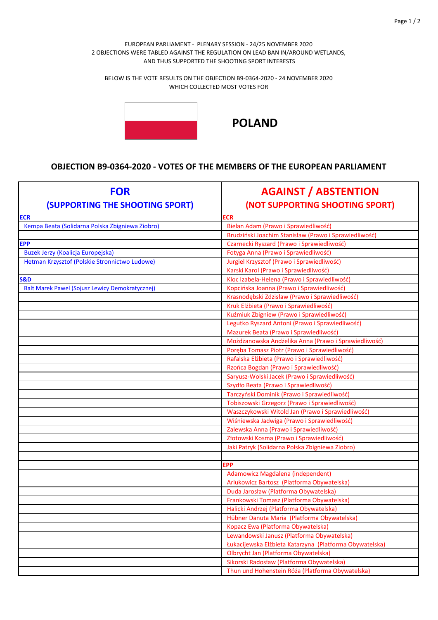BELOW IS THE VOTE RESULTS ON THE OBJECTION B9‐0364‐2020 ‐ 24 NOVEMBER 2020 WHICH COLLECTED MOST VOTES FOR



**POLAND**

| <b>FOR</b><br>(SUPPORTING THE SHOOTING SPORT)          | <b>AGAINST / ABSTENTION</b><br>(NOT SUPPORTING SHOOTING SPORT) |
|--------------------------------------------------------|----------------------------------------------------------------|
| <b>ECR</b>                                             | ECR                                                            |
| Kempa Beata (Solidarna Polska Zbigniewa Ziobro)        | Bielan Adam (Prawo i Sprawiedliwość)                           |
|                                                        | Brudziński Joachim Stanisław (Prawo i Sprawiedliwość)          |
| <b>EPP</b>                                             | Czarnecki Ryszard (Prawo i Sprawiedliwość)                     |
| Buzek Jerzy (Koalicja Europejska)                      | Fotyga Anna (Prawo i Sprawiedliwość)                           |
| Hetman Krzysztof (Polskie Stronnictwo Ludowe)          | Jurgiel Krzysztof (Prawo i Sprawiedliwość)                     |
|                                                        | Karski Karol (Prawo i Sprawiedliwość)                          |
| <b>S&amp;D</b>                                         | Kloc Izabela-Helena (Prawo i Sprawiedliwość)                   |
| <b>Balt Marek Pawel (Sojusz Lewicy Demokratycznej)</b> | Kopcińska Joanna (Prawo i Sprawiedliwość)                      |
|                                                        | Krasnodębski Zdzisław (Prawo i Sprawiedliwość)                 |
|                                                        | Kruk Elżbieta (Prawo i Sprawiedliwość)                         |
|                                                        | Kuźmiuk Zbigniew (Prawo i Sprawiedliwość)                      |
|                                                        | Legutko Ryszard Antoni (Prawo i Sprawiedliwość)                |
|                                                        | Mazurek Beata (Prawo i Sprawiedliwość)                         |
|                                                        | Możdżanowska Andżelika Anna (Prawo i Sprawiedliwość)           |
|                                                        | Poręba Tomasz Piotr (Prawo i Sprawiedliwość)                   |
|                                                        | Rafalska Elżbieta (Prawo i Sprawiedliwość)                     |
|                                                        | Rzońca Bogdan (Prawo i Sprawiedliwość)                         |
|                                                        | Saryusz-Wolski Jacek (Prawo i Sprawiedliwość)                  |
|                                                        | Szydło Beata (Prawo i Sprawiedliwość)                          |
|                                                        | Tarczyński Dominik (Prawo i Sprawiedliwość)                    |
|                                                        | Tobiszowski Grzegorz (Prawo i Sprawiedliwość)                  |
|                                                        | Waszczykowski Witold Jan (Prawo i Sprawiedliwość)              |
|                                                        | Wiśniewska Jadwiga (Prawo i Sprawiedliwość)                    |
|                                                        | Zalewska Anna (Prawo i Sprawiedliwość)                         |
|                                                        | Złotowski Kosma (Prawo i Sprawiedliwość)                       |
|                                                        | Jaki Patryk (Solidarna Polska Zbigniewa Ziobro)                |
|                                                        |                                                                |
|                                                        | EPP                                                            |
|                                                        | Adamowicz Magdalena (independent)                              |
|                                                        | Arlukowicz Bartosz (Platforma Obywatelska)                     |
|                                                        | Duda Jarosław (Platforma Obywatelska)                          |
|                                                        | Frankowski Tomasz (Platforma Obywatelska)                      |
|                                                        | Halicki Andrzej (Platforma Obywatelska)                        |
|                                                        | Hübner Danuta Maria (Platforma Obywatelska)                    |
|                                                        | Kopacz Ewa (Platforma Obywatelska)                             |
|                                                        | Lewandowski Janusz (Platforma Obywatelska)                     |
|                                                        | Łukacijewska Elżbieta Katarzyna (Platforma Obywatelska)        |
|                                                        | Olbrycht Jan (Platforma Obywatelska)                           |
|                                                        | Sikorski Radosław (Platforma Obywatelska)                      |
|                                                        | Thun und Hohenstein Róża (Platforma Obywatelska)               |
|                                                        |                                                                |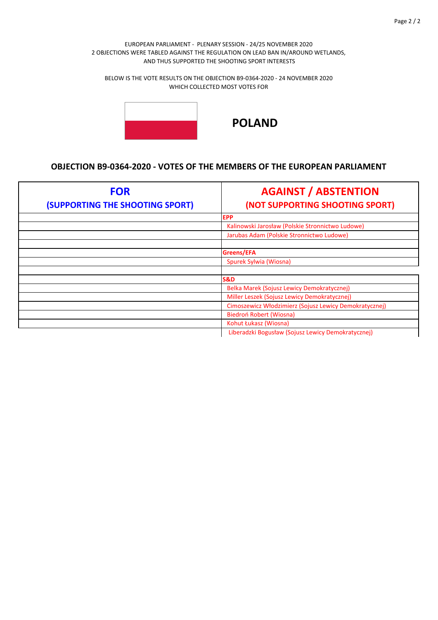BELOW IS THE VOTE RESULTS ON THE OBJECTION B9‐0364‐2020 ‐ 24 NOVEMBER 2020 WHICH COLLECTED MOST VOTES FOR



**POLAND**

| <b>FOR</b><br>(SUPPORTING THE SHOOTING SPORT) | <b>AGAINST / ABSTENTION</b><br>(NOT SUPPORTING SHOOTING SPORT) |
|-----------------------------------------------|----------------------------------------------------------------|
|                                               | <b>EPP</b>                                                     |
|                                               | Kalinowski Jarosław (Polskie Stronnictwo Ludowe)               |
|                                               | Jarubas Adam (Polskie Stronnictwo Ludowe)                      |
|                                               |                                                                |
|                                               | Greens/EFA                                                     |
|                                               | Spurek Sylwia (Wiosna)                                         |
|                                               |                                                                |
|                                               | <b>S&amp;D</b>                                                 |
|                                               | Belka Marek (Sojusz Lewicy Demokratycznej)                     |
|                                               | Miller Leszek (Sojusz Lewicy Demokratycznej)                   |
|                                               | Cimoszewicz Włodzimierz (Sojusz Lewicy Demokratycznej)         |
|                                               | Biedroń Robert (Wiosna)                                        |
|                                               | Kohut Łukasz (Wiosna)                                          |
|                                               | Liberadzki Bogusław (Sojusz Lewicy Demokratycznej)             |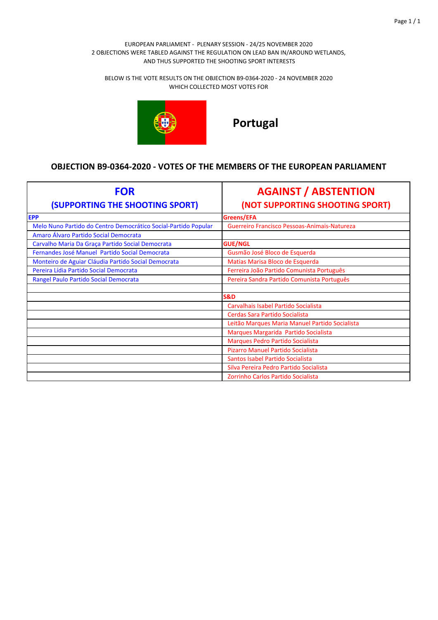BELOW IS THE VOTE RESULTS ON THE OBJECTION B9‐0364‐2020 ‐ 24 NOVEMBER 2020 WHICH COLLECTED MOST VOTES FOR



**Portugal**

| <b>FOR</b><br>(SUPPORTING THE SHOOTING SPORT)                  | <b>AGAINST / ABSTENTION</b><br>(NOT SUPPORTING SHOOTING SPORT) |
|----------------------------------------------------------------|----------------------------------------------------------------|
| <b>EPP</b>                                                     | Greens/EFA                                                     |
| Melo Nuno Partido do Centro Democrático Social-Partido Popular | Guerreiro Francisco Pessoas-Animais-Natureza                   |
| Amaro Álvaro Partido Social Democrata                          |                                                                |
| Carvalho Maria Da Graça Partido Social Democrata               | <b>GUE/NGL</b>                                                 |
| Fernandes José Manuel Partido Social Democrata                 | Gusmão José Bloco de Esquerda                                  |
| Monteiro de Aguiar Cláudia Partido Social Democrata            | Matias Marisa Bloco de Esquerda                                |
| Pereira Lídia Partido Social Democrata                         | Ferreira João Partido Comunista Português                      |
| Rangel Paulo Partido Social Democrata                          | Pereira Sandra Partido Comunista Português                     |
|                                                                |                                                                |
|                                                                | <b>S&amp;D</b>                                                 |
|                                                                | Carvalhais Isabel Partido Socialista                           |
|                                                                | Cerdas Sara Partido Socialista                                 |
|                                                                | Leitão Marques Maria Manuel Partido Socialista                 |
|                                                                | Marques Margarida Partido Socialista                           |
|                                                                | Marques Pedro Partido Socialista                               |
|                                                                | Pizarro Manuel Partido Socialista                              |
|                                                                | Santos Isabel Partido Socialista                               |
|                                                                | Silva Pereira Pedro Partido Socialista                         |
|                                                                | Zorrinho Carlos Partido Socialista                             |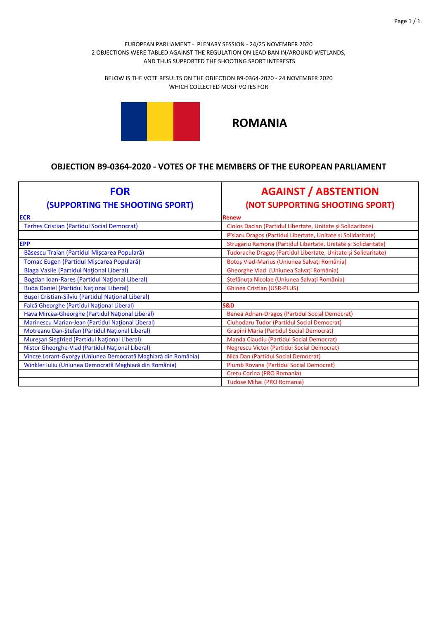BELOW IS THE VOTE RESULTS ON THE OBJECTION B9‐0364‐2020 ‐ 24 NOVEMBER 2020 WHICH COLLECTED MOST VOTES FOR



# **ROMANIA**

| <b>FOR</b><br><b>(SUPPORTING THE SHOOTING SPORT)</b>          | <b>AGAINST / ABSTENTION</b><br>(NOT SUPPORTING SHOOTING SPORT) |
|---------------------------------------------------------------|----------------------------------------------------------------|
| <b>ECR</b>                                                    | <b>Renew</b>                                                   |
| <b>Terhes Cristian (Partidul Social Democrat)</b>             | Ciolos Dacian (Partidul Libertate, Unitate și Solidaritate)    |
|                                                               | Pîslaru Dragoș (Partidul Libertate, Unitate și Solidaritate)   |
| <b>EPP</b>                                                    | Strugariu Ramona (Partidul Libertate, Unitate și Solidaritate) |
| Băsescu Traian (Partidul Mișcarea Populară)                   | Tudorache Dragoș (Partidul Libertate, Unitate și Solidaritate) |
| Tomac Eugen (Partidul Mișcarea Populară)                      | Botoș Vlad-Marius (Uniunea Salvați România)                    |
| Blaga Vasile (Partidul Național Liberal)                      | Gheorghe Vlad (Uniunea Salvați România)                        |
| Bogdan Ioan-Rareș (Partidul Național Liberal)                 | Ștefănuța Nicolae (Uniunea Salvați România)                    |
| <b>Buda Daniel (Partidul Național Liberal)</b>                | <b>Ghinea Cristian (USR-PLUS)</b>                              |
| <b>Bușoi Cristian-Silviu (Partidul Național Liberal)</b>      |                                                                |
| Falcă Gheorghe (Partidul Național Liberal)                    | <b>S&amp;D</b>                                                 |
| Hava Mircea-Gheorghe (Partidul Național Liberal)              | Benea Adrian-Dragos (Partidul Social Democrat)                 |
| Marinescu Marian-Jean (Partidul National Liberal)             | Ciuhodaru Tudor (Partidul Social Democrat)                     |
| Motreanu Dan-Ștefan (Partidul Național Liberal)               | Grapini Maria (Partidul Social Democrat)                       |
| Mureşan Siegfried (Partidul National Liberal)                 | Manda Claudiu (Partidul Social Democrat)                       |
| Nistor Gheorghe-Vlad (Partidul Național Liberal)              | <b>Negrescu Victor (Partidul Social Democrat)</b>              |
| Vincze Lorant-Gyorgy (Uniunea Democrată Maghiară din România) | Nica Dan (Partidul Social Democrat)                            |
| Winkler Iuliu (Uniunea Democrată Maghiară din România)        | Plumb Rovana (Partidul Social Democrat)                        |
|                                                               | Crețu Corina (PRO Romania)                                     |
|                                                               | <b>Tudose Mihai (PRO Romania)</b>                              |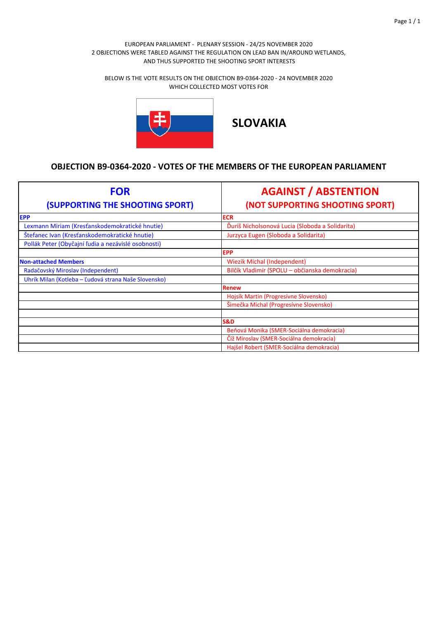BELOW IS THE VOTE RESULTS ON THE OBJECTION B9‐0364‐2020 ‐ 24 NOVEMBER 2020 WHICH COLLECTED MOST VOTES FOR



**SLOVAKIA**

| <b>FOR</b>                                           | <b>AGAINST / ABSTENTION</b>                     |
|------------------------------------------------------|-------------------------------------------------|
| (SUPPORTING THE SHOOTING SPORT)                      | (NOT SUPPORTING SHOOTING SPORT)                 |
| <b>EPP</b>                                           | <b>ECR</b>                                      |
| Lexmann Miriam (Kresťanskodemokratické hnutie)       | Duriš Nicholsonová Lucia (Sloboda a Solidarita) |
| Štefanec Ivan (Kresťanskodemokratické hnutie)        | Jurzyca Eugen (Sloboda a Solidarita)            |
| Pollák Peter (Obyčajní ľudia a nezávislé osobnosti)  |                                                 |
|                                                      | <b>EPP</b>                                      |
| <b>Non-attached Members</b>                          | <b>Wiezik Michal (Independent)</b>              |
| Radačovský Miroslav (Independent)                    | Bilčík Vladimír (SPOLU – občianska demokracia)  |
| Uhrík Milan (Kotleba - Ľudová strana Naše Slovensko) |                                                 |
|                                                      | <b>Renew</b>                                    |
|                                                      | Hojsík Martin (Progresívne Slovensko)           |
|                                                      | Šimečka Michal (Progresívne Slovensko)          |
|                                                      |                                                 |
|                                                      | <b>S&amp;D</b>                                  |
|                                                      | Beňová Monika (SMER-Sociálna demokracia)        |
|                                                      | Číž Miroslav (SMER-Sociálna demokracia)         |
|                                                      | Hajšel Robert (SMER-Sociálna demokracia)        |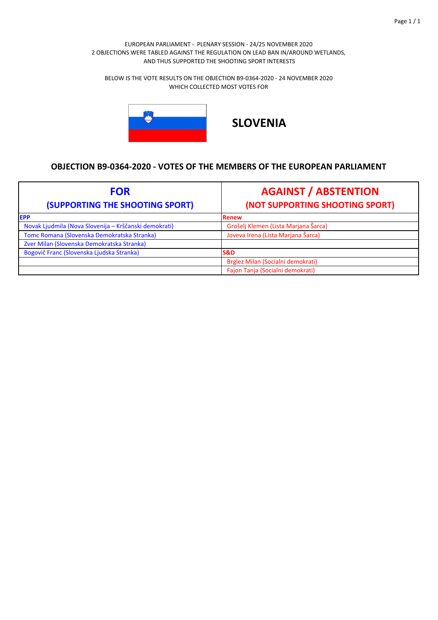BELOW IS THE VOTE RESULTS ON THE OBJECTION B9‐0364‐2020 ‐ 24 NOVEMBER 2020 WHICH COLLECTED MOST VOTES FOR



**SLOVENIA**

| <b>FOR</b><br>(SUPPORTING THE SHOOTING SPORT)         | <b>AGAINST / ABSTENTION</b><br>(NOT SUPPORTING SHOOTING SPORT) |
|-------------------------------------------------------|----------------------------------------------------------------|
| <b>EPP</b>                                            | Renew                                                          |
| Novak Ljudmila (Nova Slovenija – Krščanski demokrati) | Grošelj Klemen (Lista Marjana Šarca)                           |
| Tomc Romana (Slovenska Demokratska Stranka)           | Joveva Irena (Lista Marjana Šarca)                             |
| Zver Milan (Slovenska Demokratska Stranka)            |                                                                |
| Bogovič Franc (Slovenska Ljudska Stranka)             | <b>S&amp;D</b>                                                 |
|                                                       | Brglez Milan (Socialni demokrati)                              |
|                                                       | Fajon Tanja (Socialni demokrati)                               |